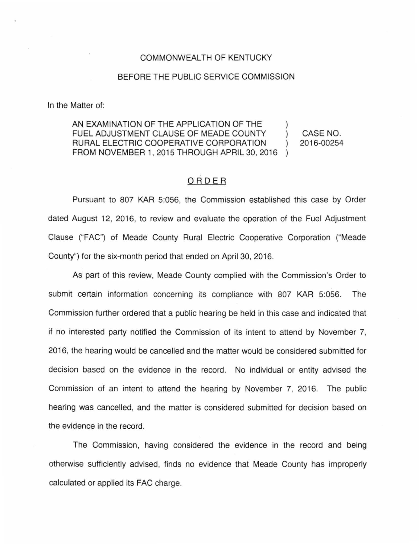## COMMONWEALTH OF KENTUCKY

## BEFORE THE PUBLIC SERVICE COMMISSION

In the Matter of:

AN EXAMINATION OF THE APPLICATION OF THE FUEL ADJUSTMENT CLAUSE OF MEADE COUNTY CASE NO.  $\mathcal{L}$ RURAL ELECTRIC COOPERATIVE CORPORATION 2016-00254  $\mathcal{L}$ FROM NOVEMBER 1, 2015 THROUGH APRIL 30, 2016

## ORDER

Pursuant to 807 KAR 5:056, the Commission established this case by Order dated August 12, 2016, to review and evaluate the operation of the Fuel Adjustment Clause ("FAG") of Meade County Rural Electric Cooperative Corporation ("Meade County") for the six-month period that ended on April 30, 2016.

As part of this review, Meade County complied with the Commission's Order to submit certain information concerning its compliance with 807 KAR 5:056. The Commission further ordered that a public hearing be held in this case and indicated that if no interested party notified the Commission of its intent to attend by November 7, 2016, the hearing would be cancelled and the matter would be considered submitted for decision based on the evidence in the record. No individual or entity advised the Commission of an intent to attend the hearing by November 7, 2016. The public hearing was cancelled, and the matter is considered submitted for decision based on the evidence in the record.

The Commission, having considered the evidence in the record and being otherwise sufficiently advised, finds no evidence that Meade County has improperly calculated or applied its FAG charge.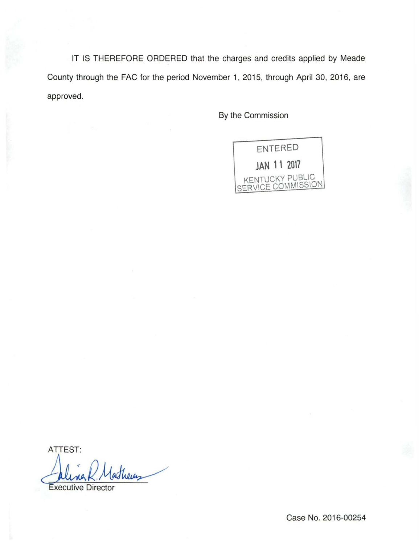IT IS THEREFORE ORDERED that the charges and credits applied by Meade County through the FAC for the period November 1, 2015, through April 30, 2016, are approved.

By the Commission



ATTEST: theres

**Executive Director** 

Case No. 2016-00254